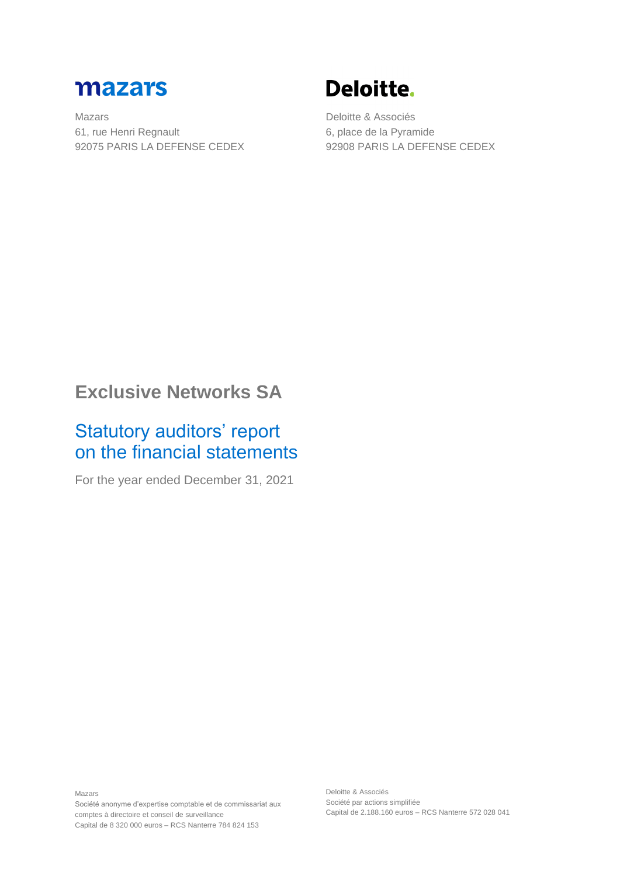

Mazars 61, rue Henri Regnault 92075 PARIS LA DEFENSE CEDEX

# Deloitte.

Deloitte & Associés 6, place de la Pyramide 92908 PARIS LA DEFENSE CEDEX

## **Exclusive Networks SA**

## Statutory auditors' report on the financial statements

For the year ended December 31, 2021

Mazars Société anonyme d'expertise comptable et de commissariat aux comptes à directoire et conseil de surveillance Capital de 8 320 000 euros – RCS Nanterre 784 824 153

Deloitte & Associés Société par actions simplifiée Capital de 2.188.160 euros – RCS Nanterre 572 028 041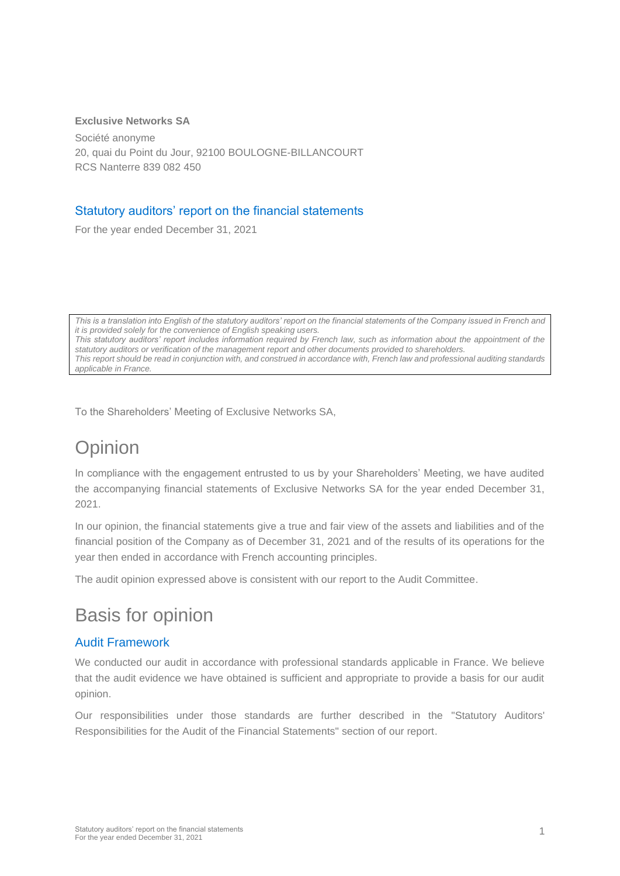#### **Exclusive Networks SA**

Société anonyme 20, quai du Point du Jour, 92100 BOULOGNE-BILLANCOURT RCS Nanterre 839 082 450

#### Statutory auditors' report on the financial statements

For the year ended December 31, 2021

*This is a translation into English of the statutory auditors' report on the financial statements of the Company issued in French and it is provided solely for the convenience of English speaking users. This statutory auditors' report includes information required by French law, such as information about the appointment of the statutory auditors or verification of the management report and other documents provided to shareholders. This report should be read in conjunction with, and construed in accordance with, French law and professional auditing standards applicable in France.*

To the Shareholders' Meeting of Exclusive Networks SA,

# **Opinion**

In compliance with the engagement entrusted to us by your Shareholders' Meeting, we have audited the accompanying financial statements of Exclusive Networks SA for the year ended December 31, 2021.

In our opinion, the financial statements give a true and fair view of the assets and liabilities and of the financial position of the Company as of December 31, 2021 and of the results of its operations for the year then ended in accordance with French accounting principles.

The audit opinion expressed above is consistent with our report to the Audit Committee.

### Basis for opinion

### Audit Framework

We conducted our audit in accordance with professional standards applicable in France. We believe that the audit evidence we have obtained is sufficient and appropriate to provide a basis for our audit opinion.

Our responsibilities under those standards are further described in the "Statutory Auditors' Responsibilities for the Audit of the Financial Statements" section of our report.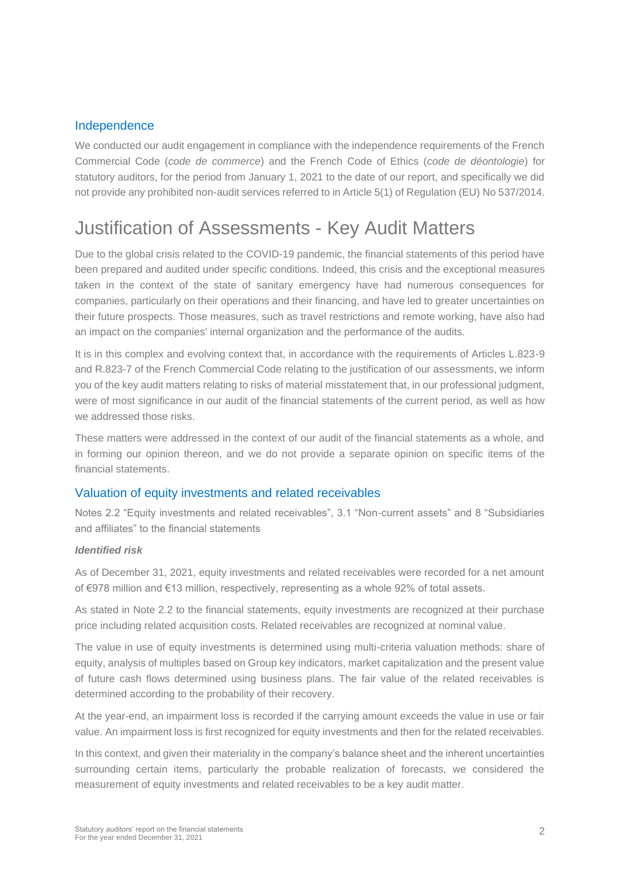#### Independence

We conducted our audit engagement in compliance with the independence requirements of the French Commercial Code (*code de commerce*) and the French Code of Ethics (*code de déontologie*) for statutory auditors, for the period from January 1, 2021 to the date of our report, and specifically we did not provide any prohibited non-audit services referred to in Article 5(1) of Regulation (EU) No 537/2014.

# Justification of Assessments - Key Audit Matters

Due to the global crisis related to the COVID-19 pandemic, the financial statements of this period have been prepared and audited under specific conditions. Indeed, this crisis and the exceptional measures taken in the context of the state of sanitary emergency have had numerous consequences for companies, particularly on their operations and their financing, and have led to greater uncertainties on their future prospects. Those measures, such as travel restrictions and remote working, have also had an impact on the companies' internal organization and the performance of the audits.

It is in this complex and evolving context that, in accordance with the requirements of Articles L.823-9 and R.823-7 of the French Commercial Code relating to the justification of our assessments, we inform you of the key audit matters relating to risks of material misstatement that, in our professional judgment, were of most significance in our audit of the financial statements of the current period, as well as how we addressed those risks.

These matters were addressed in the context of our audit of the financial statements as a whole, and in forming our opinion thereon, and we do not provide a separate opinion on specific items of the financial statements.

#### Valuation of equity investments and related receivables

Notes 2.2 "Equity investments and related receivables", 3.1 "Non-current assets" and 8 "Subsidiaries and affiliates" to the financial statements

#### *Identified risk*

As of December 31, 2021, equity investments and related receivables were recorded for a net amount of €978 million and €13 million, respectively, representing as a whole 92% of total assets.

As stated in Note 2.2 to the financial statements, equity investments are recognized at their purchase price including related acquisition costs. Related receivables are recognized at nominal value.

The value in use of equity investments is determined using multi-criteria valuation methods: share of equity, analysis of multiples based on Group key indicators, market capitalization and the present value of future cash flows determined using business plans. The fair value of the related receivables is determined according to the probability of their recovery.

At the year-end, an impairment loss is recorded if the carrying amount exceeds the value in use or fair value. An impairment loss is first recognized for equity investments and then for the related receivables.

In this context, and given their materiality in the company's balance sheet and the inherent uncertainties surrounding certain items, particularly the probable realization of forecasts, we considered the measurement of equity investments and related receivables to be a key audit matter.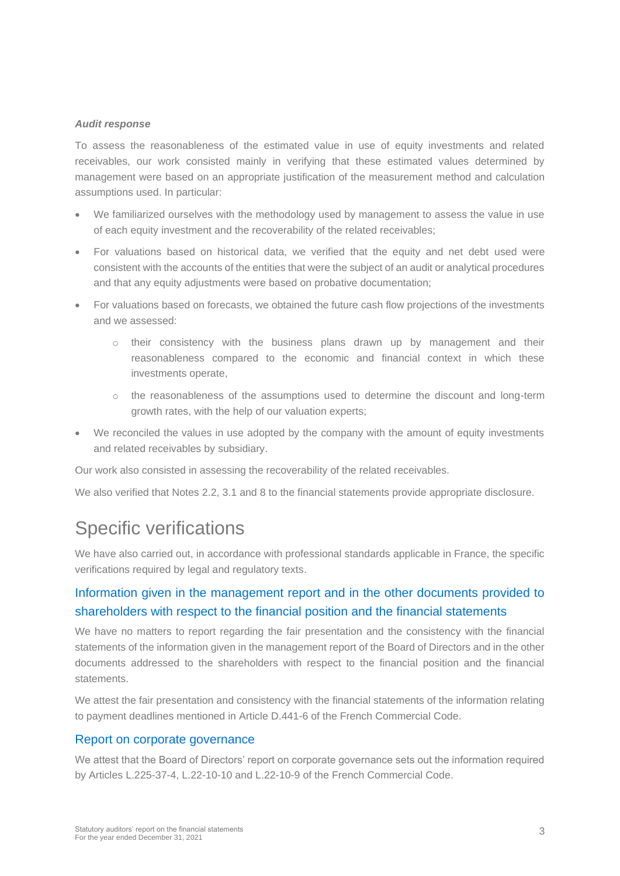#### *Audit response*

To assess the reasonableness of the estimated value in use of equity investments and related receivables, our work consisted mainly in verifying that these estimated values determined by management were based on an appropriate justification of the measurement method and calculation assumptions used. In particular:

- We familiarized ourselves with the methodology used by management to assess the value in use of each equity investment and the recoverability of the related receivables;
- For valuations based on historical data, we verified that the equity and net debt used were consistent with the accounts of the entities that were the subject of an audit or analytical procedures and that any equity adjustments were based on probative documentation;
- For valuations based on forecasts, we obtained the future cash flow projections of the investments and we assessed:
	- $\circ$  their consistency with the business plans drawn up by management and their reasonableness compared to the economic and financial context in which these investments operate,
	- o the reasonableness of the assumptions used to determine the discount and long-term growth rates, with the help of our valuation experts;
- We reconciled the values in use adopted by the company with the amount of equity investments and related receivables by subsidiary.

Our work also consisted in assessing the recoverability of the related receivables.

We also verified that Notes 2.2, 3.1 and 8 to the financial statements provide appropriate disclosure.

### Specific verifications

We have also carried out, in accordance with professional standards applicable in France, the specific verifications required by legal and regulatory texts.

### Information given in the management report and in the other documents provided to shareholders with respect to the financial position and the financial statements

We have no matters to report regarding the fair presentation and the consistency with the financial statements of the information given in the management report of the Board of Directors and in the other documents addressed to the shareholders with respect to the financial position and the financial statements.

We attest the fair presentation and consistency with the financial statements of the information relating to payment deadlines mentioned in Article D.441-6 of the French Commercial Code.

#### Report on corporate governance

We attest that the Board of Directors' report on corporate governance sets out the information required by Articles L.225-37-4, L.22-10-10 and L.22-10-9 of the French Commercial Code.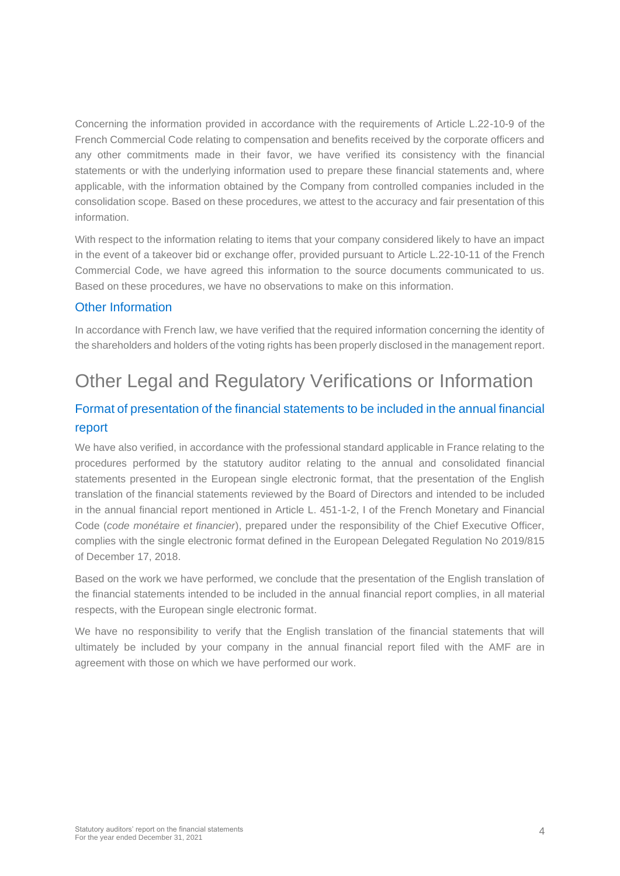Concerning the information provided in accordance with the requirements of Article L.22-10-9 of the French Commercial Code relating to compensation and benefits received by the corporate officers and any other commitments made in their favor, we have verified its consistency with the financial statements or with the underlying information used to prepare these financial statements and, where applicable, with the information obtained by the Company from controlled companies included in the consolidation scope. Based on these procedures, we attest to the accuracy and fair presentation of this information.

With respect to the information relating to items that your company considered likely to have an impact in the event of a takeover bid or exchange offer, provided pursuant to Article L.22-10-11 of the French Commercial Code, we have agreed this information to the source documents communicated to us. Based on these procedures, we have no observations to make on this information.

### Other Information

In accordance with French law, we have verified that the required information concerning the identity of the shareholders and holders of the voting rights has been properly disclosed in the management report.

# Other Legal and Regulatory Verifications or Information

### Format of presentation of the financial statements to be included in the annual financial report

We have also verified, in accordance with the professional standard applicable in France relating to the procedures performed by the statutory auditor relating to the annual and consolidated financial statements presented in the European single electronic format, that the presentation of the English translation of the financial statements reviewed by the Board of Directors and intended to be included in the annual financial report mentioned in Article L. 451-1-2, I of the French Monetary and Financial Code (*code monétaire et financier*), prepared under the responsibility of the Chief Executive Officer, complies with the single electronic format defined in the European Delegated Regulation No 2019/815 of December 17, 2018.

Based on the work we have performed, we conclude that the presentation of the English translation of the financial statements intended to be included in the annual financial report complies, in all material respects, with the European single electronic format.

We have no responsibility to verify that the English translation of the financial statements that will ultimately be included by your company in the annual financial report filed with the AMF are in agreement with those on which we have performed our work.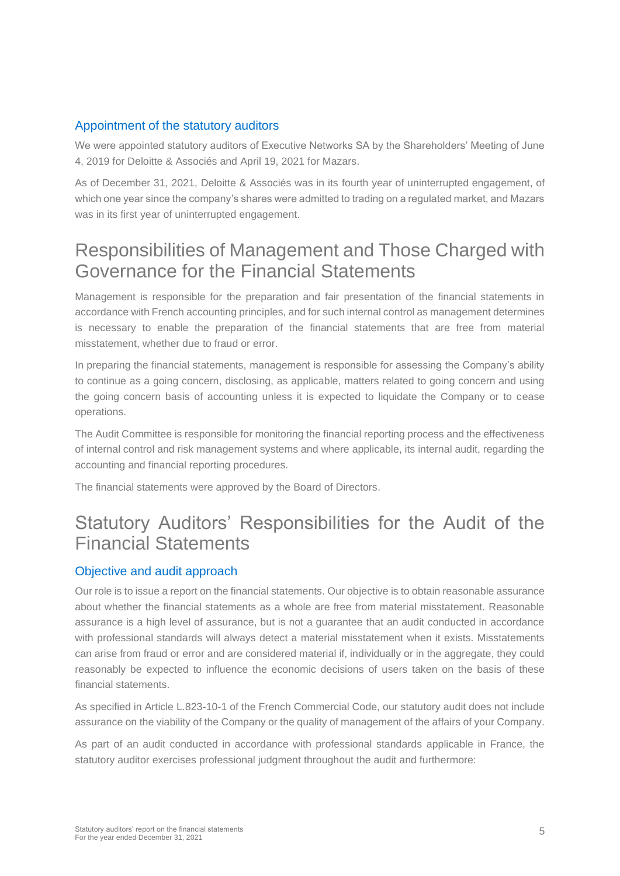#### Appointment of the statutory auditors

We were appointed statutory auditors of Executive Networks SA by the Shareholders' Meeting of June 4, 2019 for Deloitte & Associés and April 19, 2021 for Mazars.

As of December 31, 2021, Deloitte & Associés was in its fourth year of uninterrupted engagement, of which one year since the company's shares were admitted to trading on a regulated market, and Mazars was in its first year of uninterrupted engagement.

### Responsibilities of Management and Those Charged with Governance for the Financial Statements

Management is responsible for the preparation and fair presentation of the financial statements in accordance with French accounting principles, and for such internal control as management determines is necessary to enable the preparation of the financial statements that are free from material misstatement, whether due to fraud or error.

In preparing the financial statements, management is responsible for assessing the Company's ability to continue as a going concern, disclosing, as applicable, matters related to going concern and using the going concern basis of accounting unless it is expected to liquidate the Company or to cease operations.

The Audit Committee is responsible for monitoring the financial reporting process and the effectiveness of internal control and risk management systems and where applicable, its internal audit, regarding the accounting and financial reporting procedures.

The financial statements were approved by the Board of Directors.

### Statutory Auditors' Responsibilities for the Audit of the Financial Statements

### Objective and audit approach

Our role is to issue a report on the financial statements. Our objective is to obtain reasonable assurance about whether the financial statements as a whole are free from material misstatement. Reasonable assurance is a high level of assurance, but is not a guarantee that an audit conducted in accordance with professional standards will always detect a material misstatement when it exists. Misstatements can arise from fraud or error and are considered material if, individually or in the aggregate, they could reasonably be expected to influence the economic decisions of users taken on the basis of these financial statements.

As specified in Article L.823-10-1 of the French Commercial Code, our statutory audit does not include assurance on the viability of the Company or the quality of management of the affairs of your Company.

As part of an audit conducted in accordance with professional standards applicable in France, the statutory auditor exercises professional judgment throughout the audit and furthermore: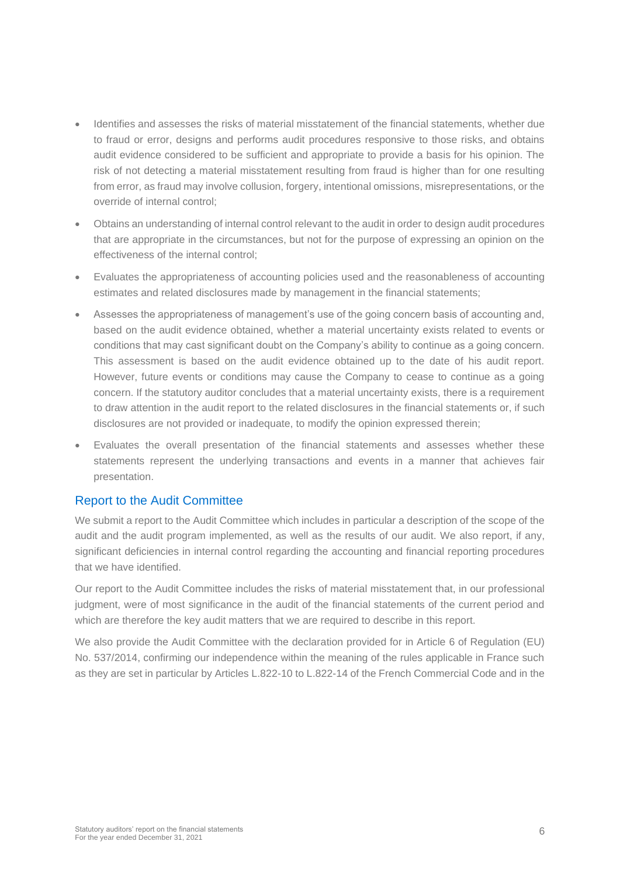- Identifies and assesses the risks of material misstatement of the financial statements, whether due to fraud or error, designs and performs audit procedures responsive to those risks, and obtains audit evidence considered to be sufficient and appropriate to provide a basis for his opinion. The risk of not detecting a material misstatement resulting from fraud is higher than for one resulting from error, as fraud may involve collusion, forgery, intentional omissions, misrepresentations, or the override of internal control;
- Obtains an understanding of internal control relevant to the audit in order to design audit procedures that are appropriate in the circumstances, but not for the purpose of expressing an opinion on the effectiveness of the internal control;
- Evaluates the appropriateness of accounting policies used and the reasonableness of accounting estimates and related disclosures made by management in the financial statements;
- Assesses the appropriateness of management's use of the going concern basis of accounting and, based on the audit evidence obtained, whether a material uncertainty exists related to events or conditions that may cast significant doubt on the Company's ability to continue as a going concern. This assessment is based on the audit evidence obtained up to the date of his audit report. However, future events or conditions may cause the Company to cease to continue as a going concern. If the statutory auditor concludes that a material uncertainty exists, there is a requirement to draw attention in the audit report to the related disclosures in the financial statements or, if such disclosures are not provided or inadequate, to modify the opinion expressed therein;
- Evaluates the overall presentation of the financial statements and assesses whether these statements represent the underlying transactions and events in a manner that achieves fair presentation.

#### Report to the Audit Committee

We submit a report to the Audit Committee which includes in particular a description of the scope of the audit and the audit program implemented, as well as the results of our audit. We also report, if any, significant deficiencies in internal control regarding the accounting and financial reporting procedures that we have identified.

Our report to the Audit Committee includes the risks of material misstatement that, in our professional judgment, were of most significance in the audit of the financial statements of the current period and which are therefore the key audit matters that we are required to describe in this report.

We also provide the Audit Committee with the declaration provided for in Article 6 of Regulation (EU) No. 537/2014, confirming our independence within the meaning of the rules applicable in France such as they are set in particular by Articles L.822-10 to L.822-14 of the French Commercial Code and in the